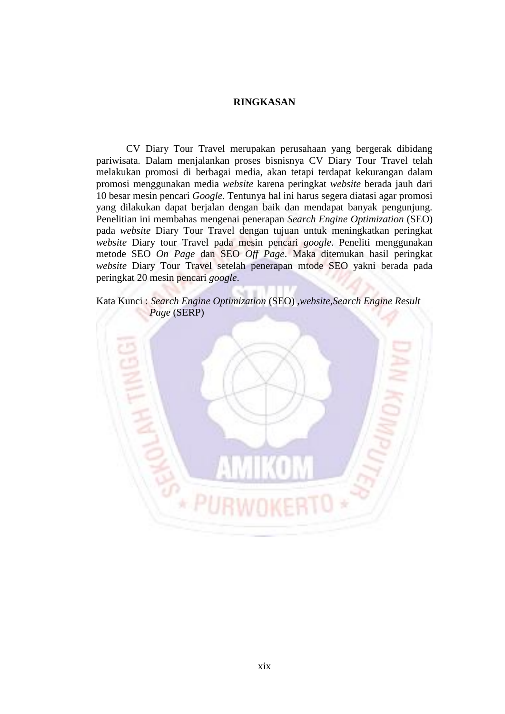## **RINGKASAN**

CV Diary Tour Travel merupakan perusahaan yang bergerak dibidang pariwisata. Dalam menjalankan proses bisnisnya CV Diary Tour Travel telah melakukan promosi di berbagai media, akan tetapi terdapat kekurangan dalam promosi menggunakan media *website* karena peringkat *website* berada jauh dari 10 besar mesin pencari *Google*. Tentunya hal ini harus segera diatasi agar promosi yang dilakukan dapat berjalan dengan baik dan mendapat banyak pengunjung. Penelitian ini membahas mengenai penerapan *Search Engine Optimization* (SEO) pada *website* Diary Tour Travel dengan tujuan untuk meningkatkan peringkat *website* Diary tour Travel pada mesin pencari *google*. Peneliti menggunakan metode SEO *On Page* dan SEO *Off Page*. Maka ditemukan hasil peringkat *website* Diary Tour Travel setelah penerapan mtode SEO yakni berada pada peringkat 20 mesin pencari *google*.

Kata Kunci : *Search Engine Optimization* (SEO) ,*website*,*Search Engine Result Page* (SERP)